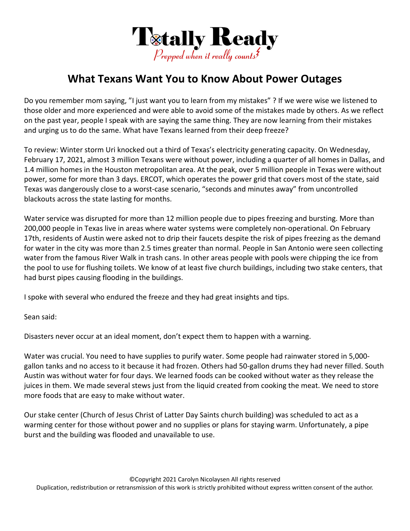

## **What Texans Want You to Know About Power Outages**

Do you remember mom saying, "I just want you to learn from my mistakes" ? If we were wise we listened to those older and more experienced and were able to avoid some of the mistakes made by others. As we reflect on the past year, people I speak with are saying the same thing. They are now learning from their mistakes and urging us to do the same. What have Texans learned from their deep freeze?

To review: Winter storm Uri knocked out a third of Texas's electricity generating capacity. On Wednesday, February 17, 2021, almost 3 million Texans were without power, including a quarter of all homes in Dallas, and 1.4 million homes in the Houston metropolitan area. At the peak, over 5 million people in Texas were without power, some for more than 3 days. ERCOT, which operates the power grid that covers most of the state, said Texas was dangerously close to a worst‐case scenario, "seconds and minutes away" from uncontrolled blackouts across the state lasting for months.

Water service was disrupted for more than 12 million people due to pipes freezing and bursting. More than 200,000 people in Texas live in areas where water systems were completely non‐operational. On February 17th, residents of Austin were asked not to drip their faucets despite the risk of pipes freezing as the demand for water in the city was more than 2.5 times greater than normal. People in San Antonio were seen collecting water from the famous River Walk in trash cans. In other areas people with pools were chipping the ice from the pool to use for flushing toilets. We know of at least five church buildings, including two stake centers, that had burst pipes causing flooding in the buildings.

I spoke with several who endured the freeze and they had great insights and tips.

Sean said:

Disasters never occur at an ideal moment, don't expect them to happen with a warning.

Water was crucial. You need to have supplies to purify water. Some people had rainwater stored in 5,000gallon tanks and no access to it because it had frozen. Others had 50‐gallon drums they had never filled. South Austin was without water for four days. We learned foods can be cooked without water as they release the juices in them. We made several stews just from the liquid created from cooking the meat. We need to store more foods that are easy to make without water.

Our stake center (Church of Jesus Christ of Latter Day Saints church building) was scheduled to act as a warming center for those without power and no supplies or plans for staying warm. Unfortunately, a pipe burst and the building was flooded and unavailable to use.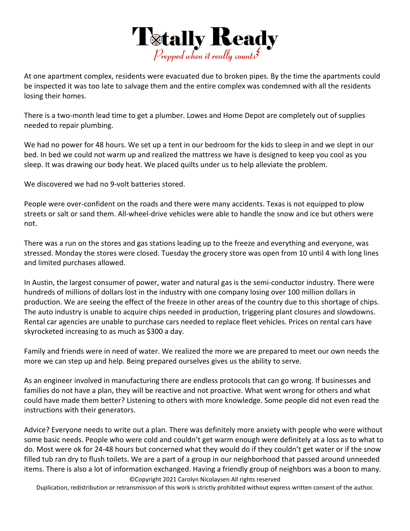

At one apartment complex, residents were evacuated due to broken pipes. By the time the apartments could be inspected it was too late to salvage them and the entire complex was condemned with all the residents losing their homes.

There is a two-month lead time to get a plumber. Lowes and Home Depot are completely out of supplies needed to repair plumbing.

We had no power for 48 hours. We set up a tent in our bedroom for the kids to sleep in and we slept in our bed. In bed we could not warm up and realized the mattress we have is designed to keep you cool as you sleep. It was drawing our body heat. We placed quilts under us to help alleviate the problem.

We discovered we had no 9-volt batteries stored.

People were over‐confident on the roads and there were many accidents. Texas is not equipped to plow streets or salt or sand them. All-wheel-drive vehicles were able to handle the snow and ice but others were not.

There was a run on the stores and gas stations leading up to the freeze and everything and everyone, was stressed. Monday the stores were closed. Tuesday the grocery store was open from 10 until 4 with long lines and limited purchases allowed.

In Austin, the largest consumer of power, water and natural gas is the semi‐conductor industry. There were hundreds of millions of dollars lost in the industry with one company losing over 100 million dollars in production. We are seeing the effect of the freeze in other areas of the country due to this shortage of chips. The auto industry is unable to acquire chips needed in production, triggering plant closures and slowdowns. Rental car agencies are unable to purchase cars needed to replace fleet vehicles. Prices on rental cars have skyrocketed increasing to as much as \$300 a day.

Family and friends were in need of water. We realized the more we are prepared to meet our own needs the more we can step up and help. Being prepared ourselves gives us the ability to serve.

As an engineer involved in manufacturing there are endless protocols that can go wrong. If businesses and families do not have a plan, they will be reactive and not proactive. What went wrong for others and what could have made them better? Listening to others with more knowledge. Some people did not even read the instructions with their generators.

Advice? Everyone needs to write out a plan. There was definitely more anxiety with people who were without some basic needs. People who were cold and couldn't get warm enough were definitely at a loss as to what to do. Most were ok for 24‐48 hours but concerned what they would do if they couldn't get water or if the snow filled tub ran dry to flush toilets. We are a part of a group in our neighborhood that passed around unneeded items. There is also a lot of information exchanged. Having a friendly group of neighbors was a boon to many.

©Copyright 2021 Carolyn Nicolaysen All rights reserved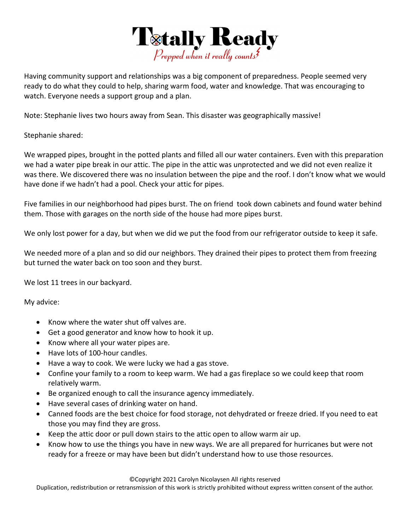

Having community support and relationships was a big component of preparedness. People seemed very ready to do what they could to help, sharing warm food, water and knowledge. That was encouraging to watch. Everyone needs a support group and a plan.

Note: Stephanie lives two hours away from Sean. This disaster was geographically massive!

Stephanie shared:

We wrapped pipes, brought in the potted plants and filled all our water containers. Even with this preparation we had a water pipe break in our attic. The pipe in the attic was unprotected and we did not even realize it was there. We discovered there was no insulation between the pipe and the roof. I don't know what we would have done if we hadn't had a pool. Check your attic for pipes.

Five families in our neighborhood had pipes burst. The on friend took down cabinets and found water behind them. Those with garages on the north side of the house had more pipes burst.

We only lost power for a day, but when we did we put the food from our refrigerator outside to keep it safe.

We needed more of a plan and so did our neighbors. They drained their pipes to protect them from freezing but turned the water back on too soon and they burst.

We lost 11 trees in our backyard.

My advice:

- Know where the water shut off valves are.
- Get a good generator and know how to hook it up.
- Know where all your water pipes are.
- Have lots of 100-hour candles.
- Have a way to cook. We were lucky we had a gas stove.
- Confine your family to a room to keep warm. We had a gas fireplace so we could keep that room relatively warm.
- Be organized enough to call the insurance agency immediately.
- Have several cases of drinking water on hand.
- Canned foods are the best choice for food storage, not dehydrated or freeze dried. If you need to eat those you may find they are gross.
- Keep the attic door or pull down stairs to the attic open to allow warm air up.
- Know how to use the things you have in new ways. We are all prepared for hurricanes but were not ready for a freeze or may have been but didn't understand how to use those resources.

©Copyright 2021 Carolyn Nicolaysen All rights reserved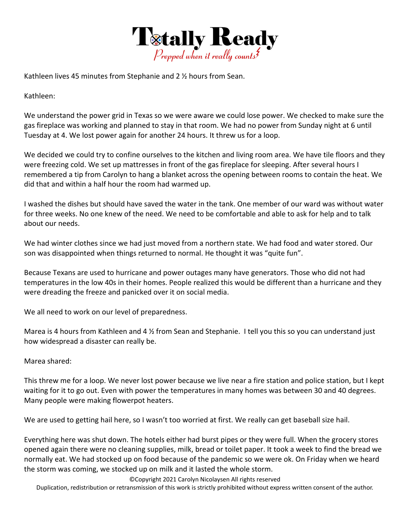

Kathleen lives 45 minutes from Stephanie and 2 ½ hours from Sean.

Kathleen:

We understand the power grid in Texas so we were aware we could lose power. We checked to make sure the gas fireplace was working and planned to stay in that room. We had no power from Sunday night at 6 until Tuesday at 4. We lost power again for another 24 hours. It threw us for a loop.

We decided we could try to confine ourselves to the kitchen and living room area. We have tile floors and they were freezing cold. We set up mattresses in front of the gas fireplace for sleeping. After several hours I remembered a tip from Carolyn to hang a blanket across the opening between rooms to contain the heat. We did that and within a half hour the room had warmed up.

I washed the dishes but should have saved the water in the tank. One member of our ward was without water for three weeks. No one knew of the need. We need to be comfortable and able to ask for help and to talk about our needs.

We had winter clothes since we had just moved from a northern state. We had food and water stored. Our son was disappointed when things returned to normal. He thought it was "quite fun".

Because Texans are used to hurricane and power outages many have generators. Those who did not had temperatures in the low 40s in their homes. People realized this would be different than a hurricane and they were dreading the freeze and panicked over it on social media.

We all need to work on our level of preparedness.

Marea is 4 hours from Kathleen and 4 % from Sean and Stephanie. I tell you this so you can understand just how widespread a disaster can really be.

Marea shared:

This threw me for a loop. We never lost power because we live near a fire station and police station, but I kept waiting for it to go out. Even with power the temperatures in many homes was between 30 and 40 degrees. Many people were making flowerpot heaters.

We are used to getting hail here, so I wasn't too worried at first. We really can get baseball size hail.

Everything here was shut down. The hotels either had burst pipes or they were full. When the grocery stores opened again there were no cleaning supplies, milk, bread or toilet paper. It took a week to find the bread we normally eat. We had stocked up on food because of the pandemic so we were ok. On Friday when we heard the storm was coming, we stocked up on milk and it lasted the whole storm.

©Copyright 2021 Carolyn Nicolaysen All rights reserved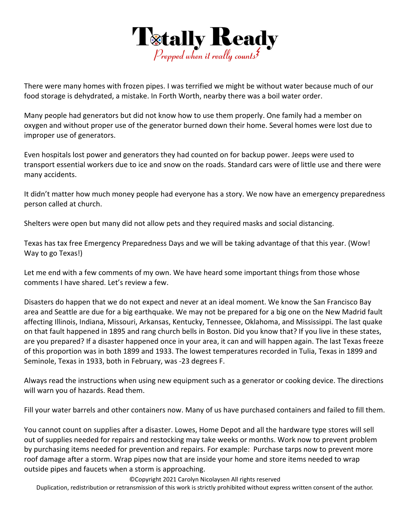

There were many homes with frozen pipes. I was terrified we might be without water because much of our food storage is dehydrated, a mistake. In Forth Worth, nearby there was a boil water order.

Many people had generators but did not know how to use them properly. One family had a member on oxygen and without proper use of the generator burned down their home. Several homes were lost due to improper use of generators.

Even hospitals lost power and generators they had counted on for backup power. Jeeps were used to transport essential workers due to ice and snow on the roads. Standard cars were of little use and there were many accidents.

It didn't matter how much money people had everyone has a story. We now have an emergency preparedness person called at church.

Shelters were open but many did not allow pets and they required masks and social distancing.

Texas has tax free Emergency Preparedness Days and we will be taking advantage of that this year. (Wow! Way to go Texas!)

Let me end with a few comments of my own. We have heard some important things from those whose comments I have shared. Let's review a few.

Disasters do happen that we do not expect and never at an ideal moment. We know the San Francisco Bay area and Seattle are due for a big earthquake. We may not be prepared for a big one on the New Madrid fault affecting Illinois, Indiana, Missouri, Arkansas, Kentucky, Tennessee, Oklahoma, and Mississippi. The last quake on that fault happened in 1895 and rang church bells in Boston. Did you know that? If you live in these states, are you prepared? If a disaster happened once in your area, it can and will happen again. The last Texas freeze of this proportion was in both 1899 and 1933. The lowest temperatures recorded in Tulia, Texas in 1899 and Seminole, Texas in 1933, both in February, was ‐23 degrees F.

Always read the instructions when using new equipment such as a generator or cooking device. The directions will warn you of hazards. Read them.

Fill your water barrels and other containers now. Many of us have purchased containers and failed to fill them.

You cannot count on supplies after a disaster. Lowes, Home Depot and all the hardware type stores will sell out of supplies needed for repairs and restocking may take weeks or months. Work now to prevent problem by purchasing items needed for prevention and repairs. For example: Purchase tarps now to prevent more roof damage after a storm. Wrap pipes now that are inside your home and store items needed to wrap outside pipes and faucets when a storm is approaching.

©Copyright 2021 Carolyn Nicolaysen All rights reserved